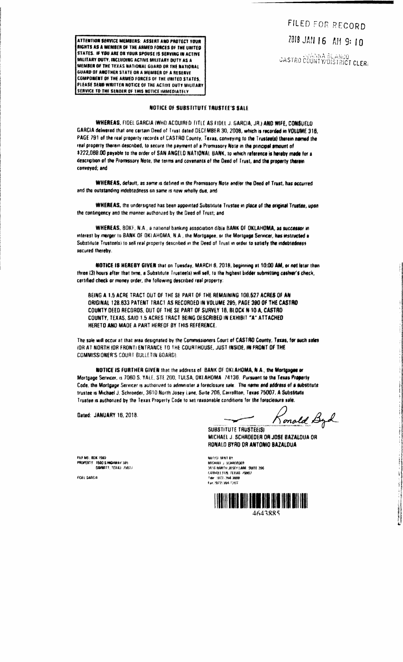FILED FOR RECORD Z018 JAN 16 AH 9: 10 CASTRO COUNTY/DISTRICT CLERE

**RIGHTS AS A MEMBER OF THE ARMED FORCES OF THE UNITED** STATES. IF YOU ARE OR YOUR SPOUSE IS SERVING IN ACTIVE MILITARY DUTY, INCLUDING ACTIVE MILITARY DUTY AS A MEMBER OF THE TEXAS NATIONAL GUARD OR THE NATIONAL GUARD OF ANOTHER STATE OR A MEMBER OF A RESERVE COMPONENT OF THE ARMED FORCES OF THE UNITED STATES. PLEASE SEMD WRITTEN NOTICE OF THE ACTIVE OUTY MUITARY **SERVICE TO THE SENDER OF THIS NOTICE IMMEDIATELY** 

ATTENTION SERVICE MEMBERS: ASSERT AND PROTECT YOUR

## NOTICE OF SUBSTITUTE TRUSTEE'S SALE

WHEREAS, FIDEL GARCIA (WHO ACQUIRED TITLE AS FIDEL J. GARCIA, JR.) AND WIFE, CONSUELD GARCIA delivered that one certain Deed of Trust dated DECEMBER 30, 2008, which is recorded in VOLUME 318, PAGE 791 of the real property records of CASTRO County, Texas, conveying to the Trusteels) therein named the real property therein described, to secure the payment of a Promissory Note in the principal amount of \$222,069.00 payable to the order of SAN ANGELO NATIONAL BANK, to which reference is hereby made for a description of the Promissory Note, the terms and covenants of the Deed of Trust, and the property therein conveved: and

WHEREAS, default, as same is defined in the Promissory Note and/or the Deed of Trust, has occurred and the outstanding indebtedness on same is now wholly due, and

WHEREAS, the undersigned has been appointed Substitute Trustee in place of the original Trustee, upon the contingency and the manner authorized by the Deed of Trust; and

WHEREAS, BOKF, N.A., a national banking association dibia BANK OF OKLAHOMA, as successor in interest by merger to BANK OF OKLAHOMA, N.A., the Mortgagee, or the Mortgage Servicer, has instructed a Substitute Trusteels) to sell real property described in the Deed of Trust in order to satisfy the indebtedness secured thereby.

NOTICE IS HEREBY GIVEN that on Tuesday, MARCH 6, 2018, beginning at 10:00 AM, or not later than three (3) hours after that time, a Substitute Trustae(s) will sell, to the highest bidder submitting cashier's check, certified check or money order, the following described real property:

BEING A 1.5 ACRE TRACT OUT OF THE SE PART OF THE REMAINING 100.627 ACRES OF AN ORIGINAL 128.833 PATENT TRACT AS RECORDED IN VOLUME 295, PAGE 390 OF THE CASTRO COUNTY DEED RECORDS, OUT OF THE SE PART OF SURVEY 18, BLOCK N-10-A, CASTRO COUNTY, TEXAS, SAID 1.5 ACRES TRACT BEING DESCRIBED IN EXHIBIT "A" ATTACHED HERETO AND MADE A PART HEREOF BY THIS REFERENCE.

The sale will occur at that area designated by the Commissioners Court of CASTRO County, Texas, for such sales IOR AT NORTH (OR FRONT) ENTRANCE TO THE COURTHOUSE, JUST INSIDE, IN FRONT OF THE COMMISSIONER'S COURT BULLETIN BOARD).

NOTICE IS FURTHER GIVEN that the address of BANK OF OKLAHOMA, N.A., the Mortasane or Mortgage Servicer, is 7060 S. YALE, STE 200, TULSA, OKLAHOMA 74136. Pursuant to the Texas Property Code, the Mortgage Servicer is authorized to administer a foreclosure sale. The name and address of a substitute trustee is Michael J. Schroeder, 3610 North Josey Lane, Suite 206, Carrollton, Texas 75007. A Substitute Trustee is authorized by the Texas Property Code to set reasonable conditions for the foreclosure sale.

Dated: JANUARY 16, 2018.

Ronald Byd

**SUBSTITUTE TRUSTEE(S)** MICHAEL J. SCHROEDER OR JOSE BAZALDUA OR RONALD BYRD OR ANTONIO BAZALDUA

FEE NO., ROK 1500 PROPERTY 1500 S HIGHWAY 385 **FIGURETT TEVAN FUELT** 

Fent Sandia

解用仪 酵群 数 MICHAEL : SCHWIETAR ndunia j humbraar<br>3610 Nahtia Joséf L<mark>aar, s</mark>yrte 206<br>Lashakeeths, tekas j<mark>yng</mark>y fair 977.394 2008 Fax: 19721-264-F284